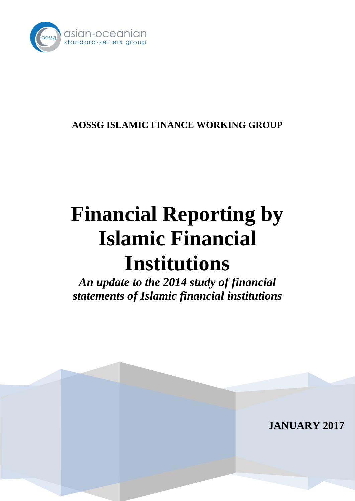

# **AOSSG ISLAMIC FINANCE WORKING GROUP**

# **Financial Reporting by Islamic Financial Institutions**

*An update to the 2014 study of financial statements of Islamic financial institutions*

**JANUARY 2017**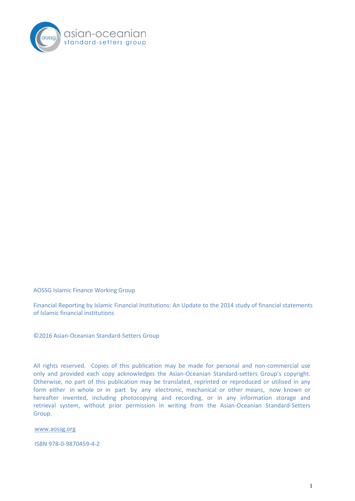

AOSSG Islamic Finance Working Group

Financial Reporting by Islamic Financial Institutions: An Update to the 2014 study of financial statements of Islamic financial institutions

© 2016 Asian-Oceanian Standard-Setters Group

All rights reserved. Copies of this publication may be made for personal and non-commercial use only and provided each copy acknowledges the Asian-Oceanian Standard-setters Group's copyright. Otherwise, no part of this publication may be translated, reprinted or reproduced or utilised in any form either in whole or in part by any electronic, mechanical or other means, now known or hereafter invented, including photocopying and recording, or in any information storage and retrieval system, without prior permission in writing from the Asian-Oceanian Standard-Setters Group.

[www.aossg.org](http://www.aossg.org/)

ISBN 978-0-9870459-4-2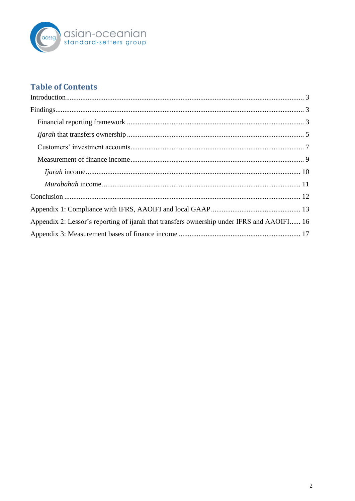

# **Table of Contents**

| Appendix 2: Lessor's reporting of ijarah that transfers ownership under IFRS and AAOIFI 16 |  |
|--------------------------------------------------------------------------------------------|--|
|                                                                                            |  |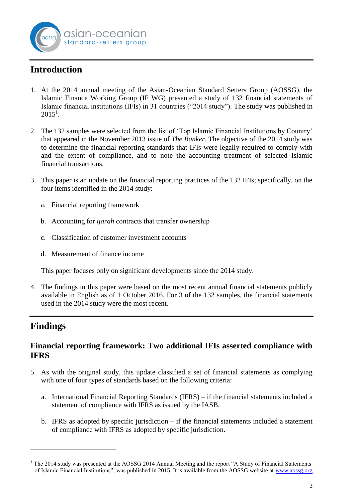

# <span id="page-3-0"></span>**Introduction**

- 1. At the 2014 annual meeting of the Asian-Oceanian Standard Setters Group (AOSSG), the Islamic Finance Working Group (IF WG) presented a study of 132 financial statements of Islamic financial institutions (IFIs) in 31 countries ("2014 study"). The study was published in  $2015^1$ .
- 2. The 132 samples were selected from the list of 'Top Islamic Financial Institutions by Country' that appeared in the November 2013 issue of *The Banker*. The objective of the 2014 study was to determine the financial reporting standards that IFIs were legally required to comply with and the extent of compliance, and to note the accounting treatment of selected Islamic financial transactions.
- 3. This paper is an update on the financial reporting practices of the 132 IFIs; specifically, on the four items identified in the 2014 study:
	- a. Financial reporting framework
	- b. Accounting for *ijarah* contracts that transfer ownership
	- c. Classification of customer investment accounts
	- d. Measurement of finance income

This paper focuses only on significant developments since the 2014 study.

4. The findings in this paper were based on the most recent annual financial statements publicly available in English as of 1 October 2016. For 3 of the 132 samples, the financial statements used in the 2014 study were the most recent.

## <span id="page-3-1"></span>**Findings**

<u>.</u>

## <span id="page-3-2"></span>**Financial reporting framework: Two additional IFIs asserted compliance with IFRS**

- 5. As with the original study, this update classified a set of financial statements as complying with one of four types of standards based on the following criteria:
	- a. International Financial Reporting Standards (IFRS) if the financial statements included a statement of compliance with IFRS as issued by the IASB.
	- b. IFRS as adopted by specific jurisdiction  $-$  if the financial statements included a statement of compliance with IFRS as adopted by specific jurisdiction.

 $1$  The 2014 study was presented at the AOSSG 2014 Annual Meeting and the report "A Study of Financial Statements of Islamic Financial Institutions", was published in 2015. It is available from the AOSSG website at [www.aossg.org.](http://www.aossg.org/)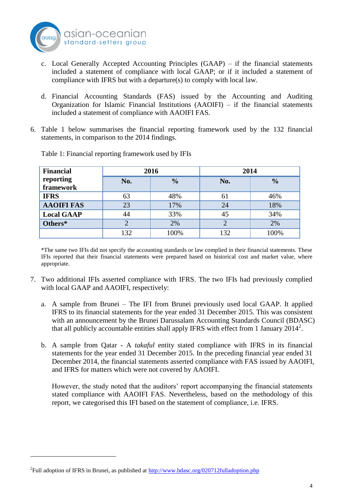

- c. Local Generally Accepted Accounting Principles (GAAP) if the financial statements included a statement of compliance with local GAAP; or if it included a statement of compliance with IFRS but with a departure(s) to comply with local law.
- d. Financial Accounting Standards (FAS) issued by the Accounting and Auditing Organization for Islamic Financial Institutions (AAOIFI) – if the financial statements included a statement of compliance with AAOIFI FAS.
- 6. Table 1 below summarises the financial reporting framework used by the 132 financial statements, in comparison to the 2014 findings.

| <b>Financial</b>  |     | 2016          | 2014 |               |  |
|-------------------|-----|---------------|------|---------------|--|
| reporting         | No. | $\frac{0}{0}$ | No.  | $\frac{0}{0}$ |  |
| framework         |     |               |      |               |  |
| <b>IFRS</b>       | 63  | 48%           | 61   | 46%           |  |
| <b>AAOIFI FAS</b> | 23  | 17%           | 24   | 18%           |  |
| <b>Local GAAP</b> | 44  | 33%           | 45   | 34%           |  |
| Others*           | 2   | 2%            |      | 2%            |  |
|                   | 132 | 100%          | 132  | 100%          |  |

Table 1: Financial reporting framework used by IFIs

\*The same two IFIs did not specify the accounting standards or law complied in their financial statements. These IFIs reported that their financial statements were prepared based on historical cost and market value, where appropriate.

- 7. Two additional IFIs asserted compliance with IFRS. The two IFIs had previously complied with local GAAP and AAOIFI, respectively:
	- a. A sample from Brunei The IFI from Brunei previously used local GAAP. It applied IFRS to its financial statements for the year ended 31 December 2015. This was consistent with an announcement by the Brunei Darussalam Accounting Standards Council (BDASC) that all publicly accountable entities shall apply IFRS with effect from 1 January  $2014^2$ .
	- b. A sample from Qatar A *takaful* entity stated compliance with IFRS in its financial statements for the year ended 31 December 2015. In the preceding financial year ended 31 December 2014, the financial statements asserted compliance with FAS issued by AAOIFI, and IFRS for matters which were not covered by AAOIFI.

However, the study noted that the auditors' report accompanying the financial statements stated compliance with AAOIFI FAS. Nevertheless, based on the methodology of this report, we categorised this IFI based on the statement of compliance, i.e. IFRS.

1

<sup>&</sup>lt;sup>2</sup> Full adoption of IFRS in Brunei, as published at<http://www.bdasc.org/020712fulladoption.php>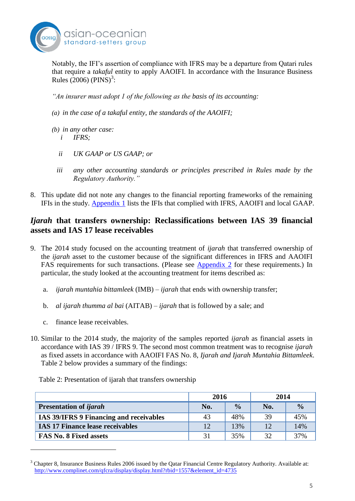

Notably, the IFI's assertion of compliance with IFRS may be a departure from Qatari rules that require a *takaful* entity to apply AAOIFI. In accordance with the Insurance Business Rules (2006) (PINS)<sup>3</sup>:

*"An insurer must adopt 1 of the following as the basis of its accounting:*

- *(a) in the case of a takaful entity, the standards of the AAOIFI;*
- *(b) in any other case: i IFRS;*
	- *ii UK GAAP or US GAAP; or*
	- *iii any other accounting standards or principles prescribed in Rules made by the Regulatory Authority."*
- 8. This update did not note any changes to the financial reporting frameworks of the remaining IFIs in the study. [Appendix 1](#page-13-0) lists the IFIs that complied with IFRS, AAOIFI and local GAAP.

## <span id="page-5-0"></span>*Ijarah* **that transfers ownership: Reclassifications between IAS 39 financial assets and IAS 17 lease receivables**

- 9. The 2014 study focused on the accounting treatment of *ijarah* that transferred ownership of the *ijarah* asset to the customer because of the significant differences in IFRS and AAOIFI FAS requirements for such transactions. (Please see [Appendix 2](#page-15-0) for these requirements.) In particular, the study looked at the accounting treatment for items described as:
	- a. *ijarah muntahia bittamleek* (IMB) *ijarah* that ends with ownership transfer;
	- b. *al ijarah thumma al bai* (AITAB) *ijarah* that is followed by a sale; and
	- c. finance lease receivables.

<u>.</u>

10. Similar to the 2014 study, the majority of the samples reported *ijarah* as financial assets in accordance with IAS 39 / IFRS 9. The second most common treatment was to recognise *ijarah* as fixed assets in accordance with AAOIFI FAS No. 8, *Ijarah and Ijarah Muntahia Bittamleek*. Table 2 below provides a summary of the findings:

|                                                | 2016 |               | 2014 |               |
|------------------------------------------------|------|---------------|------|---------------|
| <b>Presentation of ijarah</b>                  | No.  | $\frac{0}{0}$ | No.  | $\frac{0}{0}$ |
| <b>IAS 39/IFRS 9 Financing and receivables</b> | 43   | 48%           | 39   | 45%           |
| <b>IAS 17 Finance lease receivables</b>        | 12   | 13%           | 12   | 14%           |
| <b>FAS No. 8 Fixed assets</b>                  | 31   | 35%           | 32   | 37%           |

Table 2: Presentation of ijarah that transfers ownership

 $3$  Chapter 8, Insurance Business Rules 2006 issued by the Qatar Financial Centre Regulatory Authority. Available at: [http://www.complinet.com/qfcra/display/display.html?rbid=1557&element\\_id=4735](http://www.complinet.com/qfcra/display/display.html?rbid=1557&element_id=4735)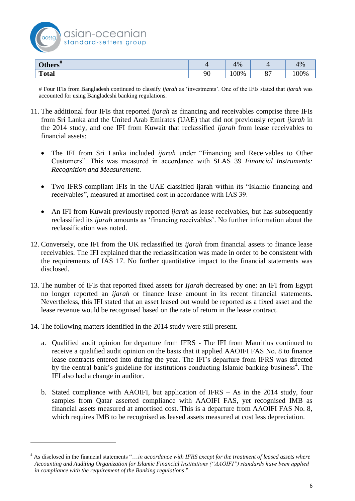

| $\Omega$ tl<br><b>Others</b> " |    | 1%  | $\prime$      | 4%             |
|--------------------------------|----|-----|---------------|----------------|
| <b>Total</b>                   | 90 | 00% | $\cap$<br>ပေး | $\frac{10}{6}$ |

 Four IFIs from Bangladesh continued to classify *ijarah* as 'investments'. One of the IFIs stated that *ijarah* was accounted for using Bangladeshi banking regulations.

- 11. The additional four IFIs that reported *ijarah* as financing and receivables comprise three IFIs from Sri Lanka and the United Arab Emirates (UAE) that did not previously report *ijarah* in the 2014 study, and one IFI from Kuwait that reclassified *ijarah* from lease receivables to financial assets:
	- The IFI from Sri Lanka included *ijarah* under "Financing and Receivables to Other Customers". This was measured in accordance with SLAS 39 *Financial Instruments: Recognition and Measurement*.
	- Two IFRS-compliant IFIs in the UAE classified ijarah within its "Islamic financing and receivables", measured at amortised cost in accordance with IAS 39.
	- An IFI from Kuwait previously reported *ijarah* as lease receivables, but has subsequently reclassified its *ijarah* amounts as 'financing receivables'. No further information about the reclassification was noted.
- 12. Conversely, one IFI from the UK reclassified its *ijarah* from financial assets to finance lease receivables. The IFI explained that the reclassification was made in order to be consistent with the requirements of IAS 17. No further quantitative impact to the financial statements was disclosed.
- 13. The number of IFIs that reported fixed assets for *Ijarah* decreased by one: an IFI from Egypt no longer reported an *ijarah* or finance lease amount in its recent financial statements. Nevertheless, this IFI stated that an asset leased out would be reported as a fixed asset and the lease revenue would be recognised based on the rate of return in the lease contract.
- 14. The following matters identified in the 2014 study were still present.

<u>.</u>

- a. Qualified audit opinion for departure from IFRS The IFI from Mauritius continued to receive a qualified audit opinion on the basis that it applied AAOIFI FAS No. 8 to finance lease contracts entered into during the year. The IFI's departure from IFRS was directed by the central bank's guideline for institutions conducting Islamic banking business<sup>4</sup>. The IFI also had a change in auditor.
- b. Stated compliance with AAOIFI, but application of IFRS As in the 2014 study, four samples from Qatar asserted compliance with AAOIFI FAS, yet recognised IMB as financial assets measured at amortised cost. This is a departure from AAOIFI FAS No. 8, which requires IMB to be recognised as leased assets measured at cost less depreciation.

<sup>4</sup> As disclosed in the financial statements "…*in accordance with IFRS except for the treatment of leased assets where Accounting and Auditing Organization for Islamic Financial Institutions ("AAOIFI") standards have been applied in compliance with the requirement of the Banking regulations*."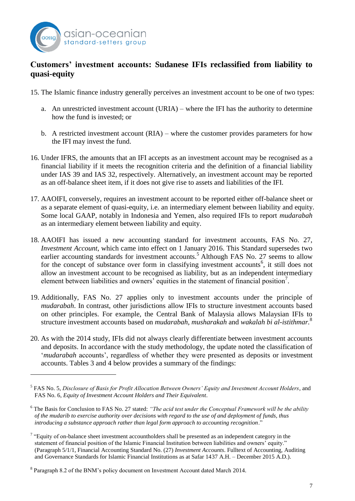

<u>.</u>

## <span id="page-7-0"></span>**Customers' investment accounts: Sudanese IFIs reclassified from liability to quasi-equity**

- 15. The Islamic finance industry generally perceives an investment account to be one of two types:
	- a. An unrestricted investment account (URIA) where the IFI has the authority to determine how the fund is invested; or
	- b. A restricted investment account (RIA) where the customer provides parameters for how the IFI may invest the fund.
- 16. Under IFRS, the amounts that an IFI accepts as an investment account may be recognised as a financial liability if it meets the recognition criteria and the definition of a financial liability under IAS 39 and IAS 32, respectively. Alternatively, an investment account may be reported as an off-balance sheet item, if it does not give rise to assets and liabilities of the IFI.
- 17. AAOIFI, conversely, requires an investment account to be reported either off-balance sheet or as a separate element of quasi-equity, i.e. an intermediary element between liability and equity. Some local GAAP, notably in Indonesia and Yemen, also required IFIs to report *mudarabah* as an intermediary element between liability and equity.
- 18. AAOIFI has issued a new accounting standard for investment accounts, FAS No. 27, *Investment Account*, which came into effect on 1 January 2016. This Standard supersedes two earlier accounting standards for investment accounts.<sup>5</sup> Although FAS No. 27 seems to allow for the concept of substance over form in classifying investment accounts<sup>6</sup>, it still does not allow an investment account to be recognised as liability, but as an independent intermediary element between liabilities and owners' equities in the statement of financial position<sup>7</sup>.
- 19. Additionally, FAS No. 27 applies only to investment accounts under the principle of *mudarabah*. In contrast, other jurisdictions allow IFIs to structure investment accounts based on other principles. For example, the Central Bank of Malaysia allows Malaysian IFIs to structure investment accounts based on *mudarabah*, *musharakah* and *wakalah bi al-istithmar.*<sup>8</sup>
- 20. As with the 2014 study, IFIs did not always clearly differentiate between investment accounts and deposits. In accordance with the study methodology, the update noted the classification of '*mudarabah* accounts', regardless of whether they were presented as deposits or investment accounts. Tables 3 and 4 below provides a summary of the findings:

<sup>5</sup> FAS No. 5, *Disclosure of Basis for Profit Allocation Between Owners' Equity and Investment Account Holders*, and FAS No. 6, *Equity of Investment Account Holders and Their Equivalent*.

<sup>6</sup> The Basis for Conclusion to FAS No. 27 stated: *"The acid test under the Conceptual Framework will be the ability of the mudarib to exercise authority over decisions with regard to the use of and deployment of funds, thus introducing a substance approach rather than legal form approach to accounting recognition*."

 $7$  "Equity of on-balance sheet investment accountholders shall be presented as an independent category in the statement of financial position of the Islamic Financial Institution between liabilities and owners' equity." (Paragraph 5/1/1, Financial Accounting Standard No. (27) *Investment Accounts*. Fulltext of Accounting, Auditing and Governance Standards for Islamic Financial Institutions as at Safar 1437 A.H. – December 2015 A.D.).

<sup>&</sup>lt;sup>8</sup> Paragraph 8.2 of the BNM's policy document on Investment Account dated March 2014.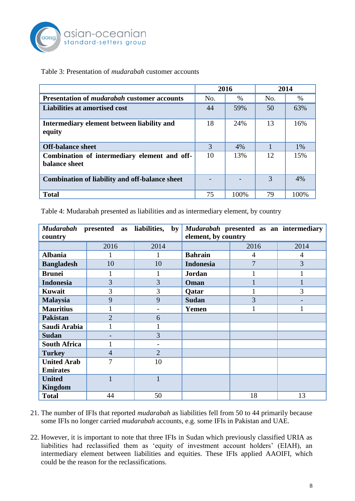

#### Table 3: Presentation of *mudarabah* customer accounts

|                                                               | 2016 |      | 2014 |      |
|---------------------------------------------------------------|------|------|------|------|
| Presentation of <i>mudarabah</i> customer accounts            | No.  | $\%$ | No.  | $\%$ |
| Liabilities at amortised cost                                 | 44   | 59%  | 50   | 63%  |
| Intermediary element between liability and<br>equity          | 18   | 24%  | 13   | 16%  |
| <b>Off-balance sheet</b>                                      | 3    | 4%   |      | 1%   |
| Combination of intermediary element and off-<br>balance sheet | 10   | 13%  | 12   | 15%  |
| <b>Combination of liability and off-balance sheet</b>         |      |      | 3    | 4%   |
| <b>Total</b>                                                  | 75   | 100% | 79   | 100% |

Table 4: Mudarabah presented as liabilities and as intermediary element, by country

| Mudarabah presented as<br>country |                | liabilities,<br>$\mathbf{b}\mathbf{v}$ | element, by country | Mudarabah presented as an intermediary |                |
|-----------------------------------|----------------|----------------------------------------|---------------------|----------------------------------------|----------------|
|                                   | 2016           | 2014                                   |                     | 2016                                   | 2014           |
| <b>Albania</b>                    |                |                                        | <b>Bahrain</b>      | 4                                      | $\overline{4}$ |
| <b>Bangladesh</b>                 | 10             | 10                                     | <b>Indonesia</b>    | $\overline{7}$                         | 3              |
| <b>Brunei</b>                     | 1              |                                        | <b>Jordan</b>       |                                        | 1              |
| <b>Indonesia</b>                  | 3              | 3                                      | Oman                |                                        | $\mathbf{1}$   |
| <b>Kuwait</b>                     | 3              | 3                                      | Qatar               |                                        | 3              |
| <b>Malaysia</b>                   | 9              | 9                                      | <b>Sudan</b>        | 3                                      |                |
| <b>Mauritius</b>                  | $\mathbf{1}$   | $\qquad \qquad -$                      | Yemen               | 1                                      | $\mathbf{1}$   |
| <b>Pakistan</b>                   | $\overline{2}$ | 6                                      |                     |                                        |                |
| Saudi Arabia                      |                | 1                                      |                     |                                        |                |
| <b>Sudan</b>                      |                | 3                                      |                     |                                        |                |
| <b>South Africa</b>               | $\mathbf{1}$   | $\overline{\phantom{0}}$               |                     |                                        |                |
| <b>Turkey</b>                     | $\overline{4}$ | $\overline{2}$                         |                     |                                        |                |
| <b>United Arab</b>                | 7              | 10                                     |                     |                                        |                |
| <b>Emirates</b>                   |                |                                        |                     |                                        |                |
| <b>United</b>                     |                |                                        |                     |                                        |                |
| Kingdom                           |                |                                        |                     |                                        |                |
| <b>Total</b>                      | 44             | 50                                     |                     | 18                                     | 13             |

- 21. The number of IFIs that reported *mudarabah* as liabilities fell from 50 to 44 primarily because some IFIs no longer carried *mudarabah* accounts, e.g. some IFIs in Pakistan and UAE.
- 22. However, it is important to note that three IFIs in Sudan which previously classified URIA as liabilities had reclassified them as 'equity of investment account holders' (EIAH), an intermediary element between liabilities and equities. These IFIs applied AAOIFI, which could be the reason for the reclassifications.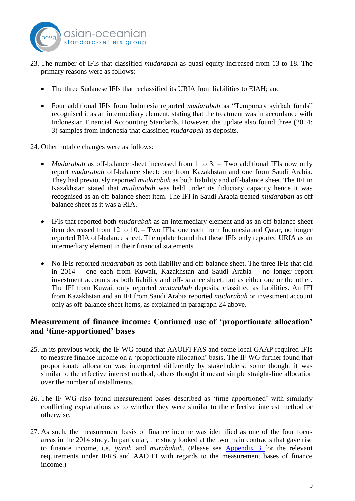

- 23. The number of IFIs that classified *mudarabah* as quasi-equity increased from 13 to 18. The primary reasons were as follows:
	- The three Sudanese IFIs that reclassified its URIA from liabilities to EIAH; and
	- Four additional IFIs from Indonesia reported *mudarabah* as "Temporary syirkah funds" recognised it as an intermediary element, stating that the treatment was in accordance with Indonesian Financial Accounting Standards. However, the update also found three (2014: 3) samples from Indonesia that classified *mudarabah* as deposits.

24. Other notable changes were as follows:

- *Mudarabah* as off-balance sheet increased from 1 to 3. Two additional IFIs now only report *mudarabah* off-balance sheet: one from Kazakhstan and one from Saudi Arabia. They had previously reported *mudarabah* as both liability and off-balance sheet. The IFI in Kazakhstan stated that *mudarabah* was held under its fiduciary capacity hence it was recognised as an off-balance sheet item. The IFI in Saudi Arabia treated *mudarabah* as off balance sheet as it was a RIA.
- IFIs that reported both *mudarabah* as an intermediary element and as an off-balance sheet item decreased from 12 to 10. – Two IFIs, one each from Indonesia and Qatar, no longer reported RIA off-balance sheet. The update found that these IFIs only reported URIA as an intermediary element in their financial statements.
- No IFIs reported *mudarabah* as both liability and off-balance sheet. The three IFIs that did in 2014 – one each from Kuwait, Kazakhstan and Saudi Arabia – no longer report investment accounts as both liability and off-balance sheet, but as either one or the other. The IFI from Kuwait only reported *mudarabah* deposits, classified as liabilities. An IFI from Kazakhstan and an IFI from Saudi Arabia reported *mudarabah* or investment account only as off-balance sheet items, as explained in paragraph 24 above.

#### <span id="page-9-0"></span>**Measurement of finance income: Continued use of 'proportionate allocation' and 'time-apportioned' bases**

- 25. In its previous work, the IF WG found that AAOIFI FAS and some local GAAP required IFIs to measure finance income on a 'proportionate allocation' basis. The IF WG further found that proportionate allocation was interpreted differently by stakeholders: some thought it was similar to the effective interest method, others thought it meant simple straight-line allocation over the number of installments.
- 26. The IF WG also found measurement bases described as 'time apportioned' with similarly conflicting explanations as to whether they were similar to the effective interest method or otherwise.
- 27. As such, the measurement basis of finance income was identified as one of the four focus areas in the 2014 study. In particular, the study looked at the two main contracts that gave rise to finance income, i.e. *ijarah* and *murabahah*. (Please see [Appendix 3](#page-17-0) for the relevant requirements under IFRS and AAOIFI with regards to the measurement bases of finance income.)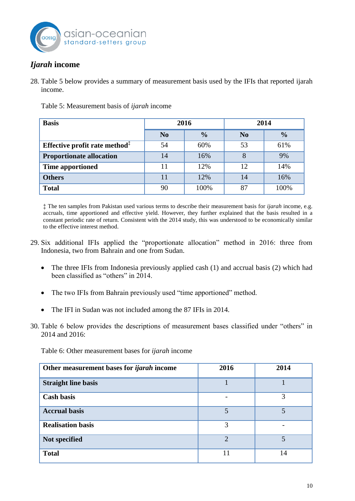

## <span id="page-10-0"></span>*Ijarah* **income**

28. Table 5 below provides a summary of measurement basis used by the IFIs that reported ijarah income.

| <b>Basis</b>                                                  | 2016           |               | 2014           |               |
|---------------------------------------------------------------|----------------|---------------|----------------|---------------|
|                                                               | N <sub>0</sub> | $\frac{0}{0}$ | N <sub>0</sub> | $\frac{0}{0}$ |
| Effective profit rate method <sup><math>\ddagger</math></sup> | 54             | 60%           | 53             | 61%           |
| <b>Proportionate allocation</b>                               | 14             | 16%           | 8              | 9%            |
| <b>Time apportioned</b>                                       | 11             | 12%           | 12             | 14%           |
| <b>Others</b>                                                 | 11             | 12%           | 14             | 16%           |
| <b>Total</b>                                                  | 90             | 100%          | 87             | 100%          |

Table 5: Measurement basis of *ijarah* income

‡ The ten samples from Pakistan used various terms to describe their measurement basis for *ijarah* income, e.g. accruals, time apportioned and effective yield. However, they further explained that the basis resulted in a constant periodic rate of return. Consistent with the 2014 study, this was understood to be economically similar to the effective interest method.

- 29. Six additional IFIs applied the "proportionate allocation" method in 2016: three from Indonesia, two from Bahrain and one from Sudan.
	- The three IFIs from Indonesia previously applied cash (1) and accrual basis (2) which had been classified as "others" in 2014.
	- The two IFIs from Bahrain previously used "time apportioned" method.
	- The IFI in Sudan was not included among the 87 IFIs in 2014.
- 30. Table 6 below provides the descriptions of measurement bases classified under "others" in 2014 and 2016:

Table 6: Other measurement bases for *ijarah* income

| Other measurement bases for <i>ijarah</i> income | 2016                        | 2014 |
|--------------------------------------------------|-----------------------------|------|
| <b>Straight line basis</b>                       |                             |      |
| <b>Cash basis</b>                                |                             | 3    |
| <b>Accrual basis</b>                             |                             |      |
| <b>Realisation basis</b>                         | 3                           |      |
| Not specified                                    | $\mathcal{D}_{\mathcal{L}}$ | 5    |
| <b>Total</b>                                     |                             | 14   |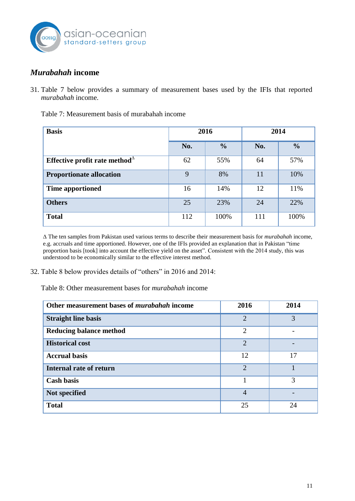

## <span id="page-11-0"></span>*Murabahah* **income**

31. Table 7 below provides a summary of measurement bases used by the IFIs that reported *murabahah* income.

| <b>Basis</b>                                                   | 2016 |               | 2014 |               |
|----------------------------------------------------------------|------|---------------|------|---------------|
|                                                                | No.  | $\frac{0}{0}$ | No.  | $\frac{0}{0}$ |
| Effective profit rate method <sup><math>\triangle</math></sup> | 62   | 55%           | 64   | 57%           |
| <b>Proportionate allocation</b>                                | 9    | 8%            | 11   | 10%           |
| <b>Time apportioned</b>                                        | 16   | 14%           | 12   | 11%           |
| <b>Others</b>                                                  | 25   | 23%           | 24   | 22%           |
| <b>Total</b>                                                   | 112  | 100%          | 111  | 100%          |

Table 7: Measurement basis of murabahah income

∆ The ten samples from Pakistan used various terms to describe their measurement basis for *murabahah* income, e.g. accruals and time apportioned. However, one of the IFIs provided an explanation that in Pakistan "time proportion basis [took] into account the effective yield on the asset". Consistent with the 2014 study, this was understood to be economically similar to the effective interest method.

32. Table 8 below provides details of "others" in 2016 and 2014:

Table 8: Other measurement bases for *murabahah* income

<span id="page-11-1"></span>

| Other measurement bases of <i>murabahah</i> income | 2016                        | 2014 |
|----------------------------------------------------|-----------------------------|------|
| <b>Straight line basis</b>                         | $\overline{2}$              | 3    |
| <b>Reducing balance method</b>                     | $\overline{2}$              |      |
| <b>Historical cost</b>                             | $\mathcal{D}_{\mathcal{L}}$ |      |
| <b>Accrual basis</b>                               | 12                          | 17   |
| <b>Internal rate of return</b>                     | $\mathcal{D}_{\mathcal{L}}$ |      |
| <b>Cash basis</b>                                  |                             | 3    |
| Not specified                                      | $\overline{4}$              |      |
| <b>Total</b>                                       | 25                          | 24   |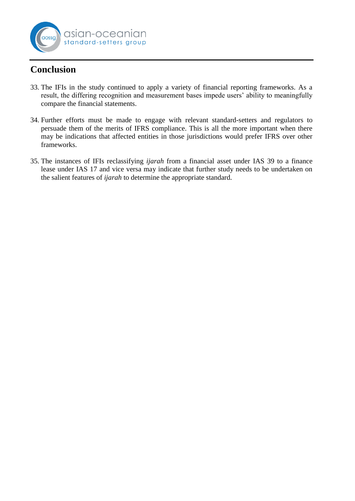

# **Conclusion**

- 33. The IFIs in the study continued to apply a variety of financial reporting frameworks. As a result, the differing recognition and measurement bases impede users' ability to meaningfully compare the financial statements.
- 34. Further efforts must be made to engage with relevant standard-setters and regulators to persuade them of the merits of IFRS compliance. This is all the more important when there may be indications that affected entities in those jurisdictions would prefer IFRS over other frameworks.
- 35. The instances of IFIs reclassifying *ijarah* from a financial asset under IAS 39 to a finance lease under IAS 17 and vice versa may indicate that further study needs to be undertaken on the salient features of *ijarah* to determine the appropriate standard.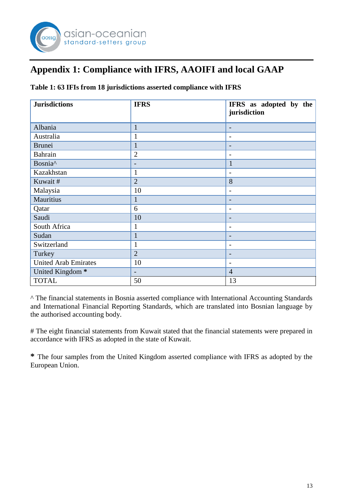

# <span id="page-13-0"></span>**Appendix 1: Compliance with IFRS, AAOIFI and local GAAP**

**Table 1: 63 IFIs from 18 jurisdictions asserted compliance with IFRS**

| <b>Jurisdictions</b>        | <b>IFRS</b>              | IFRS as adopted by the<br>jurisdiction |
|-----------------------------|--------------------------|----------------------------------------|
| Albania                     | $\mathbf{1}$             | $\overline{\phantom{a}}$               |
| Australia                   | 1                        | $\overline{\phantom{a}}$               |
| <b>Brunei</b>               |                          | ۳                                      |
| Bahrain                     | $\overline{2}$           | -                                      |
| Bosnia <sup>^</sup>         | $\overline{\phantom{0}}$ | $\mathbf{1}$                           |
| Kazakhstan                  | 1                        | $\overline{a}$                         |
| Kuwait#                     | $\overline{2}$           | 8                                      |
| Malaysia                    | 10                       | $\overline{a}$                         |
| Mauritius                   |                          | $\overline{\phantom{a}}$               |
| Qatar                       | 6                        | -                                      |
| Saudi                       | 10                       | $\overline{\phantom{0}}$               |
| South Africa                | 1                        | -                                      |
| Sudan                       |                          | $\overline{\phantom{0}}$               |
| Switzerland                 | 1                        | $\overline{\phantom{a}}$               |
| Turkey                      | $\overline{2}$           | $\overline{\phantom{0}}$               |
| <b>United Arab Emirates</b> | 10                       | $\qquad \qquad -$                      |
| United Kingdom <sup>*</sup> | $\overline{\phantom{0}}$ | $\overline{4}$                         |
| <b>TOTAL</b>                | 50                       | 13                                     |

^ The financial statements in Bosnia asserted compliance with International Accounting Standards and International Financial Reporting Standards, which are translated into Bosnian language by the authorised accounting body.

# The eight financial statements from Kuwait stated that the financial statements were prepared in accordance with IFRS as adopted in the state of Kuwait.

**\*** The four samples from the United Kingdom asserted compliance with IFRS as adopted by the European Union.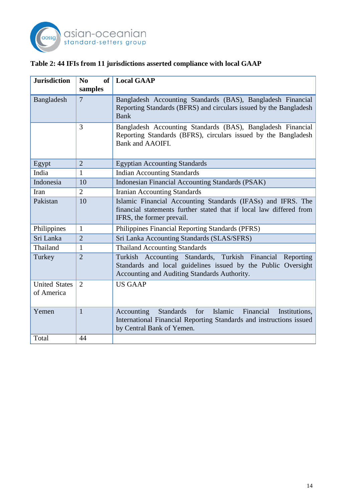

## **Table 2: 44 IFIs from 11 jurisdictions asserted compliance with local GAAP**

| <b>Jurisdiction</b>                | N <sub>0</sub><br><b>of</b> | <b>Local GAAP</b>                                                                                                                                                             |
|------------------------------------|-----------------------------|-------------------------------------------------------------------------------------------------------------------------------------------------------------------------------|
|                                    | samples                     |                                                                                                                                                                               |
| Bangladesh                         | $\overline{7}$              | Bangladesh Accounting Standards (BAS), Bangladesh Financial<br>Reporting Standards (BFRS) and circulars issued by the Bangladesh<br><b>Bank</b>                               |
|                                    | 3                           | Bangladesh Accounting Standards (BAS), Bangladesh Financial<br>Reporting Standards (BFRS), circulars issued by the Bangladesh<br>Bank and AAOIFI.                             |
| Egypt                              | $\overline{2}$              | <b>Egyptian Accounting Standards</b>                                                                                                                                          |
| India                              | 1                           | <b>Indian Accounting Standards</b>                                                                                                                                            |
| Indonesia                          | 10                          | <b>Indonesian Financial Accounting Standards (PSAK)</b>                                                                                                                       |
| Iran                               | $\overline{2}$              | <b>Iranian Accounting Standards</b>                                                                                                                                           |
| Pakistan                           | 10                          | Islamic Financial Accounting Standards (IFASs) and IFRS. The<br>financial statements further stated that if local law differed from<br>IFRS, the former prevail.              |
| Philippines                        | 1                           | Philippines Financial Reporting Standards (PFRS)                                                                                                                              |
| Sri Lanka                          | $\overline{2}$              | Sri Lanka Accounting Standards (SLAS/SFRS)                                                                                                                                    |
| Thailand                           | $\mathbf{1}$                | <b>Thailand Accounting Standards</b>                                                                                                                                          |
| Turkey                             | $\overline{2}$              | Turkish Accounting Standards, Turkish Financial<br>Reporting<br>Standards and local guidelines issued by the Public Oversight<br>Accounting and Auditing Standards Authority. |
| <b>United States</b><br>of America | $\overline{2}$              | <b>US GAAP</b>                                                                                                                                                                |
| Yemen                              | $\mathbf{1}$                | Islamic<br>Standards<br>Financial<br>Accounting<br>for<br>Institutions,<br>International Financial Reporting Standards and instructions issued<br>by Central Bank of Yemen.   |
| Total                              | 44                          |                                                                                                                                                                               |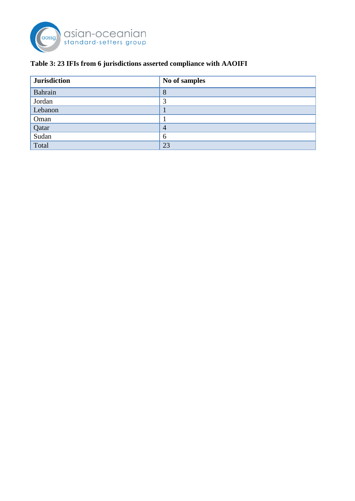

## **Table 3: 23 IFIs from 6 jurisdictions asserted compliance with AAOIFI**

<span id="page-15-0"></span>

| <b>Jurisdiction</b> | No of samples  |
|---------------------|----------------|
| Bahrain             | 8              |
| Jordan              | ာ              |
| Lebanon             |                |
| Oman                |                |
| Qatar<br>Sudan      | $\overline{4}$ |
|                     | 6              |
| Total               | 23             |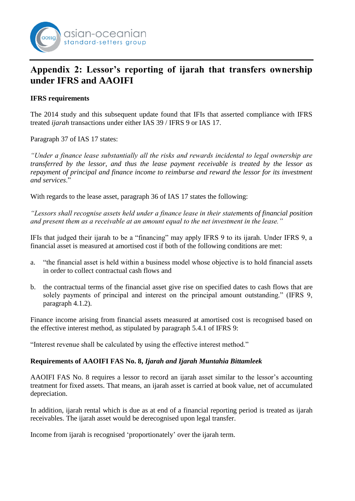# <span id="page-16-0"></span>**Appendix 2: Lessor's reporting of ijarah that transfers ownership under IFRS and AAOIFI**

#### **IFRS requirements**

The 2014 study and this subsequent update found that IFIs that asserted compliance with IFRS treated *ijarah* transactions under either IAS 39 / IFRS 9 or IAS 17.

Paragraph 37 of IAS 17 states:

asıan-oceanıan standard-setters group

*"Under a finance lease substantially all the risks and rewards incidental to legal ownership are transferred by the lessor, and thus the lease payment receivable is treated by the lessor as repayment of principal and finance income to reimburse and reward the lessor for its investment and services*."

With regards to the lease asset, paragraph 36 of IAS 17 states the following:

*"Lessors shall recognise assets held under a finance lease in their statements of financial position and present them as a receivable at an amount equal to the net investment in the lease."*

IFIs that judged their ijarah to be a "financing" may apply IFRS 9 to its ijarah. Under IFRS 9, a financial asset is measured at amortised cost if both of the following conditions are met:

- a. "the financial asset is held within a business model whose objective is to hold financial assets in order to collect contractual cash flows and
- b. the contractual terms of the financial asset give rise on specified dates to cash flows that are solely payments of principal and interest on the principal amount outstanding." (IFRS 9, paragraph 4.1.2).

Finance income arising from financial assets measured at amortised cost is recognised based on the effective interest method, as stipulated by paragraph 5.4.1 of IFRS 9:

"Interest revenue shall be calculated by using the effective interest method."

#### **Requirements of AAOIFI FAS No. 8,** *Ijarah and Ijarah Muntahia Bittamleek*

AAOIFI FAS No. 8 requires a lessor to record an ijarah asset similar to the lessor's accounting treatment for fixed assets. That means, an ijarah asset is carried at book value, net of accumulated depreciation.

In addition, ijarah rental which is due as at end of a financial reporting period is treated as ijarah receivables. The ijarah asset would be derecognised upon legal transfer.

Income from ijarah is recognised 'proportionately' over the ijarah term.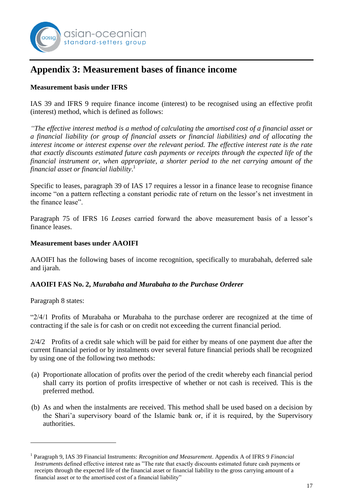

## <span id="page-17-0"></span>**Appendix 3: Measurement bases of finance income**

#### **Measurement basis under IFRS**

IAS 39 and IFRS 9 require finance income (interest) to be recognised using an effective profit (interest) method, which is defined as follows:

*"The effective interest method is a method of calculating the amortised cost of a financial asset or a financial liability (or group of financial assets or financial liabilities) and of allocating the interest income or interest expense over the relevant period. The effective interest rate is the rate that exactly discounts estimated future cash payments or receipts through the expected life of the financial instrument or, when appropriate, a shorter period to the net carrying amount of the financial asset or financial liability*. 1

Specific to leases, paragraph 39 of IAS 17 requires a lessor in a finance lease to recognise finance income "on a pattern reflecting a constant periodic rate of return on the lessor's net investment in the finance lease".

Paragraph 75 of IFRS 16 *Leases* carried forward the above measurement basis of a lessor's finance leases.

#### **Measurement bases under AAOIFI**

AAOIFI has the following bases of income recognition, specifically to murabahah, deferred sale and ijarah.

#### **AAOIFI FAS No. 2,** *Murabaha and Murabaha to the Purchase Orderer*

Paragraph 8 states:

<u>.</u>

"2/4/1 Profits of Murabaha or Murabaha to the purchase orderer are recognized at the time of contracting if the sale is for cash or on credit not exceeding the current financial period.

2/4/2 Profits of a credit sale which will be paid for either by means of one payment due after the current financial period or by instalments over several future financial periods shall be recognized by using one of the following two methods:

- (a) Proportionate allocation of profits over the period of the credit whereby each financial period shall carry its portion of profits irrespective of whether or not cash is received. This is the preferred method.
- (b) As and when the instalments are received. This method shall be used based on a decision by the Shari'a supervisory board of the Islamic bank or, if it is required, by the Supervisory authorities.

<sup>&</sup>lt;sup>1</sup> Paragraph 9, IAS 39 Financial Instruments: *Recognition and Measurement*. Appendix A of IFRS 9 *Financial Instruments* defined effective interest rate as "The rate that exactly discounts estimated future cash payments or receipts through the expected life of the financial asset or financial liability to the gross carrying amount of a financial asset or to the amortised cost of a financial liability"